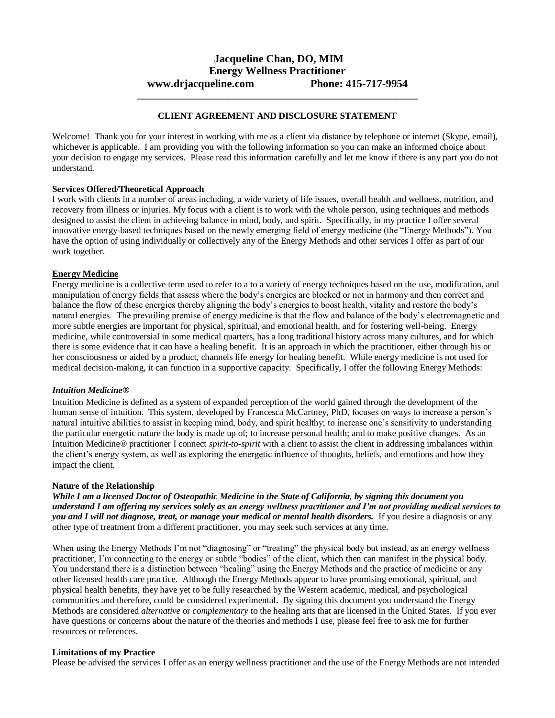# **Jacqueline Chan, DO, MIM Energy Wellness Practitioner www.drjacqueline.com Phone: 415-717-9954**

**\_\_\_\_\_\_\_\_\_\_\_\_\_\_\_\_\_\_\_\_\_\_\_\_\_\_\_\_\_\_\_\_\_\_\_\_\_\_\_\_\_\_\_\_\_\_\_\_\_\_\_\_\_\_\_\_\_\_\_\_\_\_**

# **CLIENT AGREEMENT AND DISCLOSURE STATEMENT**

Welcome! Thank you for your interest in working with me as a client via distance by telephone or internet (Skype, email), whichever is applicable. I am providing you with the following information so you can make an informed choice about your decision to engage my services. Please read this information carefully and let me know if there is any part you do not understand.

#### **Services Offered/Theoretical Approach**

I work with clients in a number of areas including, a wide variety of life issues, overall health and wellness, nutrition, and recovery from illness or injuries. My focus with a client is to work with the whole person, using techniques and methods designed to assist the client in achieving balance in mind, body, and spirit. Specifically, in my practice I offer several innovative energy-based techniques based on the newly emerging field of energy medicine (the "Energy Methods"). You have the option of using individually or collectively any of the Energy Methods and other services I offer as part of our work together.

# **Energy Medicine**

Energy medicine is a collective term used to refer to a to a variety of energy techniques based on the use, modification, and manipulation of energy fields that assess where the body's energies are blocked or not in harmony and then correct and balance the flow of these energies thereby aligning the body's energies to boost health, vitality and restore the body's natural energies. The prevailing premise of energy medicine is that the flow and balance of the body's electromagnetic and more subtle energies are important for physical, spiritual, and emotional health, and for fostering well-being. Energy medicine, while controversial in some medical quarters, has a long traditional history across many cultures, and for which there is some evidence that it can have a healing benefit. It is an approach in which the practitioner, either through his or her consciousness or aided by a product, channels life energy for healing benefit. While energy medicine is not used for medical decision-making, it can function in a supportive capacity. Specifically, I offer the following Energy Methods:

#### *Intuition Medicine®*

Intuition Medicine is defined as a system of expanded perception of the world gained through the development of the human sense of intuition. This system, developed by Francesca McCartney, PhD, focuses on ways to increase a person's natural intuitive abilities to assist in keeping mind, body, and spirit healthy; to increase one's sensitivity to understanding the particular energetic nature the body is made up of; to increase personal health; and to make positive changes. As an Intuition Medicine® practitioner I connect *spirit-to-spirit* with a client to assist the client in addressing imbalances within the client's energy system, as well as exploring the energetic influence of thoughts, beliefs, and emotions and how they impact the client.

#### **Nature of the Relationship**

*While I am a licensed Doctor of Osteopathic Medicine in the State of California, by signing this document you understand I am offering my services solely as an energy wellness practitioner and I'm not providing medical services to you and I will not diagnose, treat, or manage your medical or mental health disorders.* If you desire a diagnosis or any other type of treatment from a different practitioner, you may seek such services at any time.

When using the Energy Methods I'm not "diagnosing" or "treating" the physical body but instead, as an energy wellness practitioner, I'm connecting to the energy or subtle "bodies" of the client, which then can manifest in the physical body. You understand there is a distinction between "healing" using the Energy Methods and the practice of medicine or any other licensed health care practice. Although the Energy Methods appear to have promising emotional, spiritual, and physical health benefits, they have yet to be fully researched by the Western academic, medical, and psychological communities and therefore, could be considered experimental**.** By signing this document you understand the Energy Methods are considered *alternative* or *complementary* to the healing arts that are licensed in the United States. If you ever have questions or concerns about the nature of the theories and methods I use, please feel free to ask me for further resources or references.

#### **Limitations of my Practice**

Please be advised the services I offer as an energy wellness practitioner and the use of the Energy Methods are not intended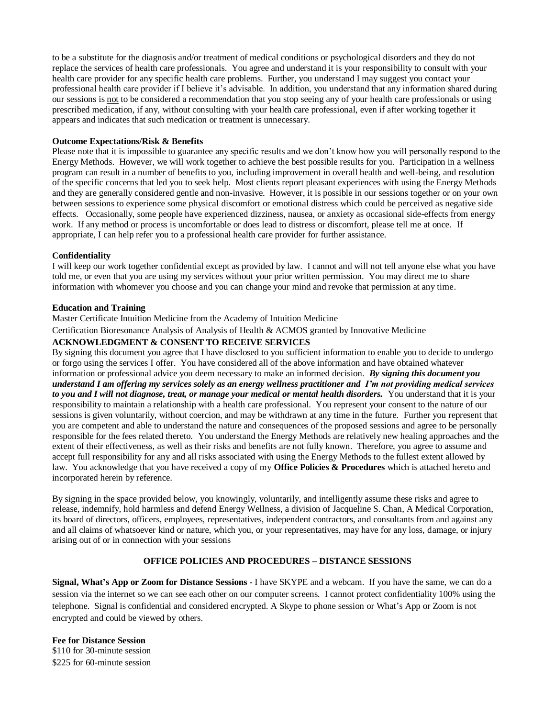to be a substitute for the diagnosis and/or treatment of medical conditions or psychological disorders and they do not replace the services of health care professionals. You agree and understand it is your responsibility to consult with your health care provider for any specific health care problems. Further, you understand I may suggest you contact your professional health care provider if I believe it's advisable. In addition, you understand that any information shared during our sessions is not to be considered a recommendation that you stop seeing any of your health care professionals or using prescribed medication, if any, without consulting with your health care professional, even if after working together it appears and indicates that such medication or treatment is unnecessary.

#### **Outcome Expectations/Risk & Benefits**

Please note that it is impossible to guarantee any specific results and we don't know how you will personally respond to the Energy Methods. However, we will work together to achieve the best possible results for you. Participation in a wellness program can result in a number of benefits to you, including improvement in overall health and well-being, and resolution of the specific concerns that led you to seek help. Most clients report pleasant experiences with using the Energy Methods and they are generally considered gentle and non-invasive. However, it is possible in our sessions together or on your own between sessions to experience some physical discomfort or emotional distress which could be perceived as negative side effects. Occasionally, some people have experienced dizziness, nausea, or anxiety as occasional side-effects from energy work. If any method or process is uncomfortable or does lead to distress or discomfort, please tell me at once. If appropriate, I can help refer you to a professional health care provider for further assistance.

## **Confidentiality**

I will keep our work together confidential except as provided by law. I cannot and will not tell anyone else what you have told me, or even that you are using my services without your prior written permission. You may direct me to share information with whomever you choose and you can change your mind and revoke that permission at any time.

## **Education and Training**

Master Certificate Intuition Medicine from the Academy of Intuition Medicine

Certification Bioresonance Analysis of Analysis of Health & ACMOS granted by Innovative Medicine

## **ACKNOWLEDGMENT & CONSENT TO RECEIVE SERVICES**

By signing this document you agree that I have disclosed to you sufficient information to enable you to decide to undergo or forgo using the services I offer. You have considered all of the above information and have obtained whatever information or professional advice you deem necessary to make an informed decision. *By signing this document you understand I am offering my services solely as an energy wellness practitioner and I'm not providing medical services to you and I will not diagnose, treat, or manage your medical or mental health disorders.* You understand that it is your responsibility to maintain a relationship with a health care professional. You represent your consent to the nature of our sessions is given voluntarily, without coercion, and may be withdrawn at any time in the future. Further you represent that you are competent and able to understand the nature and consequences of the proposed sessions and agree to be personally responsible for the fees related thereto. You understand the Energy Methods are relatively new healing approaches and the extent of their effectiveness, as well as their risks and benefits are not fully known. Therefore, you agree to assume and accept full responsibility for any and all risks associated with using the Energy Methods to the fullest extent allowed by law. You acknowledge that you have received a copy of my **Office Policies & Procedures** which is attached hereto and incorporated herein by reference.

By signing in the space provided below, you knowingly, voluntarily, and intelligently assume these risks and agree to release, indemnify, hold harmless and defend Energy Wellness, a division of Jacqueline S. Chan, A Medical Corporation, its board of directors, officers, employees, representatives, independent contractors, and consultants from and against any and all claims of whatsoever kind or nature, which you, or your representatives, may have for any loss, damage, or injury arising out of or in connection with your sessions

# **OFFICE POLICIES AND PROCEDURES – DISTANCE SESSIONS**

**Signal, What's App or Zoom for Distance Sessions -** I have SKYPE and a webcam. If you have the same, we can do a session via the internet so we can see each other on our computer screens. I cannot protect confidentiality 100% using the telephone. Signal is confidential and considered encrypted. A Skype to phone session or What's App or Zoom is not encrypted and could be viewed by others.

**Fee for Distance Session** \$110 for 30-minute session \$225 for 60-minute session